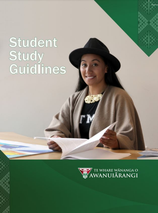# Student Study<br>Guidlines

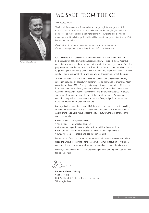

Professor Wiremu Doherty

# MESSAGE FROM THE CE

Tēnā koutou katoa,

Tēnei te mihi maioha atu ki ā koutou katoa i runga i ngā āhuatanga o te wā. Ka mihi ki ö tātau mate e heke tonu nei, e heke tonu nei. Kua tangihia, kua mihia, kua poroporoakitia rātau, nö reira e ngā mate takoto mai rā, takoto mai rā i roto i ngā ringaringa a tö tātau kaihanga. Ka hoki mai ki a tātau te hunga ora, tēnā koutou, tēnā koutou, tēnā tātau katoa.

*Rukuhia te Mātauranga ki tōna hōhonutanga me tona whānuitanga. Pursue knowledge to the greatest depths and its broadest horizons.*

It is a pleasure to welcome you to Te Whare Wānanga o Awanuiārangi. You are here because you seek relevant skills, specialised knowledge and a highly-regarded credential. You want an education that equips you for the challenges you will face, that prepares you to contribute to te ao Māori, and that makes you stand out when it comes to getting a job. In our fast-changing world, the right knowledge will be critical to how we shape our future. What, where and how you study is more important than ever.

Te Whare Wānanga o Awanuiārangi plays a distinctive and crucial role in tertiary education, providing an opportunity to learn based on the values of āhuatanga Māori according to tikanga Māori. Strong relationships with our communities of interest – in Aotearoa and internationally – drive the relevance of our academic programmes, teaching and research. Academic achievement and cultural competence are equally significant. Our graduates have discovered the advantage that an Awanuiārangi education can provide as they move into the workforce, and position themselves to make a difference within their communities.

Our organisation has defined values (Ngā Uara) which are embedded in the teaching and learning environment as well as the support functions of Te Whare Wānanga o Awanuiārangi. Ngā Uara imbue a responsibility of duty toward each other and the wider community:

- Manaakitanga To respect and care
- Kaitiakitanga To protect and support
- Whanaungatanga To value all relationships and kinship connections
- Pūmautanga To commit to excellence and continuous improvement
- Tumu Whakaara To inspire and lead through example

We are proud of our transformative approaches to educational achievement and our broad and unique programme offerings, and we continue to focus on providing an education that will encourage and support community development and growth.

Nō reira, nau mai haere mai ki Te Whare Wānanga o Awanuiārangi. We hope you will feel at home here.

**Professor Wiremu Doherty** Chief Executive PhD (Auckland) B. A. (Hons), B. SocSc, Dip Teachg Tūhoe, Ngāti Awa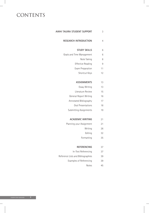# **CONTENTS**

| AWHI TAUIRA STUDENT SUPPORT        | 3              |
|------------------------------------|----------------|
| <b>RESEARCH INTRODUCTION</b>       | $\overline{4}$ |
| <b>STUDY SKILLS</b>                | 6              |
| Goals and Time Management          | 6              |
| Note Taking                        | 8              |
| <b>Effective Reading</b>           | 9              |
| Exam Preparation                   | 11             |
| Shortcut Keys                      | 12             |
| <b>ASSIGNMENTS</b>                 | 13             |
| Essay Writing                      | 13             |
| Literature Review                  | 15             |
| General Report Writing             | 16             |
| Annotated Bibliography             | 17             |
| Oral Presentations                 | 18             |
| Submitting Assignments             | 19             |
| <b>ACADEMIC WRITING</b>            | 21             |
| Planning your Assignment           | 21             |
| Writing                            | 26             |
| Editing                            | 32             |
| Formatting                         | 35             |
| <b>REFERENCING</b>                 | 37             |
| In-Text Referencing                | 37             |
| Reference Lists and Bibliographies | 39             |
| Examples of Referencing            | 39             |
| <b>Notes</b>                       | 45             |
|                                    |                |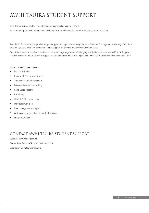# AWHI TAUIRA STUDENT SUPPORT

Tēnei te mihi atu ki ā koutou i raro i te maru o ngā manaakitanga me te aroha.

Ko mātou te rōpū e kawe nei i ngā mahi hei hāpai i ā koutou i ngā tauira i raro i te āhuatanga o ā koutou mahi.

Awhi Tauira Student Support provides targeted support and input into all programmes at Te Whare Wānanga o Awanuiārangi. Kanohi-kite-kanohi (face-to-face) and eWānanga (online) support programmes are available to suit all needs.

One of the immediate benefits to students is the whānaungatanga (sense of belonging) that is always present at Awhi Tauira. Support includes academic support as well as support for personal issues which may impact a student's ability to learn and complete their study.

#### **AWHI TAUIRA STAFF OFFER -**

- Individual support
- Online and face-to-face tutorials
- Group workshops and seminars
- Essays and assignments writing
- Noho Marae support
- **Formatting**
- APA 7th Edition referencing
- Individual study plan
- Time management strategies
- Writing conventions English and Te Reo Māori
- Presentation skills

### CONTACT AWHI TAUIRA STUDENT SUPPORT

**Website**: www.wānanga.ac.nz

**Phone**: Awhi Tauira **DDI**: 07 306 3325 **ext** 7325

**Email**: awhitauira@wānanga.ac.nz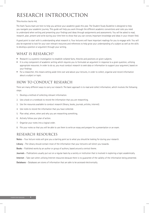# RESEARCH INTRODUCTION

#### Tēna koutou tauira mā,

The Awhi Tauira team are here to help you achieve your academic goals this year. The Student Study Guideline is designed to help you navigate your academic journey. This guide will help you work through the different academic conventions and rules you need to understand when writing and presenting your findings and ideas through assignments and assessments. You will be asked to read, research, plan, present and write during your time here to show that you can convey important knowledge and ideas in your chosen field.

A good point to start with is understanding what research is. Your lecturers will have important readings for you to engage with. You will also be expected to look for your own relevant resources and references to help grow your understanding of a subject as well as the skills to develop a position or argument through your writing.

### WHAT IS RESEARCH?

- Research is a systemic investigation to establish collated facts, theories and positions on given subjects.
- It is a key component of academic writing which requires you to formulate an argument in response to a given question, utilizing appropriate resources. In order to do so, you must conduct research to seek data or information to support your argument, based on your findings.
- For a researcher, this means setting aside time over and above your lectures, in order to collect, organise and record information about a subject or topic.

### HOW TO CONDUCT RESEARCH

There are many different ways to carry out research. The basic approach is to read and collect information, which involves the following steps:

- 1. Develop a method of collecting relevant information.
- 2. Use a book or a notebook to record the information that you are researching.
- 3. Use the resources available to conduct research (library, books, journals, articles, internet).
- 4. Use notes to record the information that you have collected.
- 5. Plan what, where, when and why you are researching something.
- 6. Actively follow your plan of action.
- 7. Organise your notes into a logical order.
- 8. File your notes so that you will be able to use them to write an essay and prepare for a presentation or an exam.

### RESEARCH RESOURCES

**Notes** – Your lecture notes will give you a starting point as to what you should be looking for during your research.

**Library** – The Library should contain most of the information that your lecturers will direct you towards.

**Books** – Published works by an author or group of authors, based around a central theme.

**Journals** – Publications usually put out on a regular basis by a society or institution that is involved in exploring a topic academically.

**Internet** – Take care when utilising Internet resources because there is no guarantee of the validity of the information being presented.

**Databases** – Databases are stores of information that are able to be accessed electronically.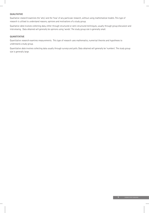#### **QUALITATIVE**

Qualitative *research* examines the 'why' and the 'how' of any particular research, without using mathematical models. This type of research is utilised to understand reasons, opinions and motivations of a study group.

Qualitative *data* involves collecting data, either through structured or semi-structured techniques, usually through group discussion and interviewing. Data obtained will generally be opinions using 'words'. The study group size is generally small.

#### **QUANTITATIVE**

Quantitative *research* examines measurements. This type of research uses mathematics, numerical theories and hypotheses to understand a study group.

Quantitative *data* involves collecting data usually through surveys and polls. Data obtained will generally be 'numbers'. The study group size is generally large.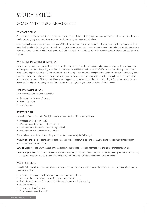# STUDY SKILLS

### GOALS AND TIME MANAGEMENT

#### **WHAT ARE GOALS?**

Goals are a specific intention or focus that you may have – like achieving a degree, learning about an interest, or learning te reo. They put you in control, give you a sense of purpose and usually express your values and principles.

Goals such as learning te reo are long-term goals. When they are broken down into steps, they then become short-term goals, which are more flexible and can be changed and, more important, can be measured over a time frame where you have to be precise about what you want to accomplish and by when. Writing your goals down gives them meaning so do not be afraid to put your dreams and aspirations in writing.

#### **WHY IS TIME MANAGEMENT IMPORTANT?**

There are many challenges you will face as a new student and, to be successful, time needs to be managed properly. Time Management is about you, as an individual, using your time productively. It is a skill which will take a lot of effort for some to develop. Remember, it takes time to acquire new practices and information. The first step is knowing how you spend your time now. This can help identify what type of person you are, what priorities you have, where you can best recover time and where you should direct your efforts to get the best return. Ask yourself "If I stop doing this what will happen?" If the answer is nothing, then stop doing it. Focusing on your goals and objectives should give you enough motivation and reason to change how you spend your time, if this is needed.

#### **TIME MANAGEMENT PLAN**

There are three planning tools to consider:

- Semester Plan (or Yearly Planner)
- Weekly Schedule
- Daily Organiser

#### **SEMESTER PLAN**

To develop a Semester Plan (or Yearly Planner) you need to ask the following questions:

- What are my long-term goals?
- What do I want to accomplish this semester?
- How much time do I need to spend on my studies?
- How much time do I have for other things?

You will also need to do some prioritising which involves considering the following:

**Amount of Time** – Do not spend all your time on one or two subjects while ignoring others. Designate regular study times and plan other commitments around these.

**Level of Urgency** – Begin with the assignments that have the earliest deadlines, not those that are easiest or most interesting!

**Level of Importance** – You should also consider how much time you might spend studying for a 20% exam compared with a 80% exam, as well as how much internal assessment you have to do and how much it is worth in comparison to your exam.

#### **WEEKLY SCHEDULE**

A Weekly Schedule allows close monitoring of your time so you know how many hours you have for each week for study. When you are creating your plan:

- Schedule your study at the time of day that is most productive for you
- Make sure that the time you allocate for study is quality time
- Study the subject(s) you find most difficult before the ones you find interesting
- Review your goals
- Plan your study environment
- Create ways to reward yourself

STUDENT STUDY GUIDELINES **6**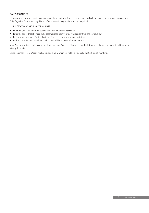#### **DAILY ORGANISER**

Planning your day helps maintain an immediate focus on the task you need to complete. Each evening, before a school day, prepare a Daily Organiser for the next day. Place a ∕ next to each thing to do as you accomplish it.

Here is how you prepare a Daily Organiser:

- Enter the things to do for the coming day from your Weekly Schedule
- Enter the things that still need to be accomplished from your Daily Organiser from the previous day
- Review your class notes for the day to see if you need to add any study activities
- Add any out-of-school activities in which you will be involved with the next day

Your Weekly Schedule should have more detail than your Semester Plan while your Daily Organiser should have more detail than your Weekly Schedule.

Using a Semester Plan, a Weekly Schedule, and a Daily Organiser will help you make the best use of your time.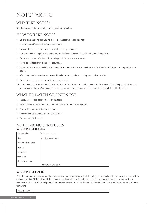# NOTE TAKING

### WHY TAKE NOTES?

Note taking is essential for recalling and retaining information.

### HOW TO TAKE NOTES

- 1. Go into class knowing that you have read all the recommended readings.
- 2. Position yourself where distractions are minimal.
- 3. Focus on the lecturer and motivate yourself to be a good listener.
- 4. Number and date the pages and then write the number of the class, lecturer and topic on all papers.
- 5. Formulate a system of abbreviations and symbols in place of whole words.
- 6. Formulas and facts should be noted accurately.
- 7. Leave a wide margin to the left so that new information, main ideas or questions can be placed. Highlighting of main points can be useful.
- 8. After class, rewrite the notes and revert abbreviations and symbols into longhand and summarise.
- 9. For retention purposes, review notes on a regular basis.
- 10. Compare your notes with other students and formulate a discussion on what their main ideas were. This will help you all to expand on your personal notes. You may also like to expand notes by accessing other literature that is closely linked to the topic.

### WHAT TO WATCH OR LISTEN FOR

- 1. The review that the lecturer makes on the topic.
- 2. Repetitive use of words and points and the amount of time spent on points.
- 3. Any written communication on the board.
- 4. The examples used to illustrate facts or opinions.
- 5. The summary of the topic.

### NOTE TAKING STRATEGIES **NOTE TAKING FOR LECTURES**

| Page number         | <b>Торіс</b>           |
|---------------------|------------------------|
| Date                | Note taking column     |
| Number of the class |                        |
| Lecturer            |                        |
| Main ideas          |                        |
| Questions           |                        |
| New information     |                        |
|                     | Summary of the lecture |

#### **NOTE TAKING FOR READING**

Place the appropriate reference list of any written communication after each of the notes. This will include the author, year of publication and page number. At the bottom of the summary box do another for full reference lists. This will make it easier to cut and paste the references to the back of the assignment. (See the reference section of the Student Study Guidelines for further information on reference formatting.)

| $- - -$ |  |
|---------|--|
|         |  |

STUDENT STUDY GUIDELINES **8**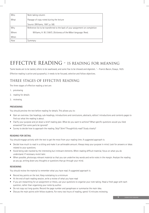| Who   | Note taking column                                                            |
|-------|-------------------------------------------------------------------------------|
| What  | Passage of copy noted during the lecture                                      |
|       | Source: (Williams, 1997, p. 58).                                              |
| Why   | Reference list to be transferred to the back of your assignment on completion |
| Where | Williams, H. W. (1997). Dictionary of the Māori language. Reed.               |
| When  |                                                                               |
| How   | Summary                                                                       |

## EFFECTIVE READING - IS READING FOR MEANING

'Some books are to be tasted, others to be swallowed, and some few to be chewed and digested…' – Francis Bacon, Essays, 1625.

Effective reading is active and purposeful, it needs to be focused, selective and follow objectives.

### THREE STAGES OF EFFECTIVE READING

The three stages of effective reading a text are:

- 1. previewing
- 2. reading for details
- 3. reviewing

#### **PREVIEWING**

You should preview the text before reading for details. This allows you to:

- Gain an overview. Use headings, sub-headings, introductions and conclusions, abstracts, editors' introductions and contents pages to find out what the reading is about.
- Clarify your purpose and jot down a brief reading plan. What do you want to achieve? What specific questions would you liked answered? Can some parts be ignored?
- Survey to decide how to approach the reading. Skip? Skim? Thoughtfully read? Study closely?

#### **READING FOR DETAIL**

You should engage actively with the text to get the most from your reading time. A suggested approach is:

- Decide how much to read in a sitting and make it an achievable amount. Always keep your purpose in mind. Look for answers or ideas related to your questions.
- Avoid being side-tracked by the interesting but irrelevant elements. When reading difficult material, focus on what you do understand. If necessary revisit later.
- When possible, photocopy relevant material so that you can underline key words and write notes in the margin. Analyse the reading as you go, writing down any thoughts or questions that go through your mind.

#### **REVIEWING**

You should review the material to remember what you have read. A suggested approach is:

- Record key points on the text. Keep notetaking to a minimum
- At the end of each reading session, write a review of what you have read
- If you are researching for an assignment or thesis, use your questions to organise your note taking. Head a fresh page with each question, rather than organising your notes by author.
- Do not copy out long quotes. Record the page number and paraphrase or summarise the main idea.
- Discuss the main points with fellow students. For every two hours of reading, spend 15 minutes reviewing.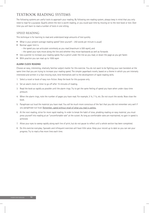### TEXTBOOK READING SYSTEMS

The following systems are useful tools to approach your reading. By following one reading system, always keep in mind that you only need to read for a purpose. Qualify where the text is worth reading, or you could save time by moving on to the next book or text. Over time you will learn to read a number of texts in one sitting.

#### SPEED READING

This technique is for learning to read and understand large amounts of text quickly

- What is your present average reading speed? (test yourself 250 words per minute is usual)
- Normal upper limit is
	- the speed you can articulate voicelessly as you read (maximum is 500 wpm), and
	- the speed your eyes move along the line and whether they move backwards as well as forwards
- Use a pointer to increase your reading speed. Run a pencil under the line as you read, or down the page as you get faster.
- With practice you can read up to 1000 wpm

#### **ALARM CLOCK READING**

Choose an easy, interesting, relatively familiar subject matter for this exercise. You do not want to be fighting your own boredom at the same time that you are trying to increase your reading speed. The simpler paperback novels, based on a theme in which you are intensely interested and written in a fast-moving style, lend themselves well to the development of rapid-reading skills.

- 1. Select a novel or book of easy non-fiction. Keep the book for this purpose only.
- 2. Set an alarm clock or timer to go off after 15 minutes of reading.
- 3. Read the book as rapidly as possible until the alarm rings. Try to get the same feeling of speed you have when under class-time pressure.
- 4. When the alarm rings, note the number of pages you have read. For example, 5 ¼, 7 ½, etc. Do not count the words. Now close the book.
- 5. Paraphrase out loud the material you have read. You will be much more conscious of the fact that you did not remember very well if you paraphrase out loud. Remember, speed without recall of what you read is useless.
- 6. At the next reading, strive for more rapid reading. In order to break the habit of slow, plodding reading on easy material, you must press yourself into reading at an "uncomfortable rate" at the outset. As long as comfortable rates are maintained, no gain in speed is achieved.
- 7. Allow your eyes to sweep rapidly along each line of print, but do not pause to reflect until a whole section has been completed.
- 8. Do this exercise everyday. Sporadic and infrequent exercises will have little value. Keep your record up to date so you can see your progress. Try to read a few more lines each time.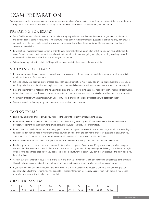# EXAM PREPARATION

Exams are often used as a form of assessment for many courses and are often allocated a significant proportion of the total marks for a course paper. As with other assessments, achieving successful results from exams can come from good preparation.

### PREPARING FOR EXAMS

- Try to familiarise yourself with the exam structure by looking at previous exams. Ask your lecturer or programme co-ordinator if the current exam is going to follow the same structure. Try to identify familiar themes or questions in old exams. They may provide an insight into what you can be expected to answer. Find out what types of questions may be used for example, essay questions, short answers or multi-choice.
- Prioritise! Time management is important in order to make the most effective use of what little time you may have left before the exam. Be strict – know how to say no to any distracting temptations (for example, going shopping, socialising, watching movies) unless you include them as a break activity within your set routine.
- Set up study groups with other students. This provides an opportunity to share ideas and course material.

### STUDYING FOR EXAMS

- If studying for more than one exam, try to divide your time accordingly. Do not spend too much time on one paper. It may be better to adopt a 'little and often' approach.
- Set aside a study area that has plenty of space, good lighting and ventilation. Also it should be an area that is quiet and where you are not likely to be disturbed. An ideal area might be a library, an unused classroom, a bedroom or on a table in a backyard or quiet park.
- Read and summarise your notes into the main points or issues and try to create mind maps that will help you remember and trigger further information during an exam. Double-check your information to ensure you have not made any mistakes or left out important information.
- Continually practise writing sample answers under simulated exam conditions and try practising with past exam papers
- Try not to cram in revision right up until you arrive or are ready to enter the exam

### TAKING EXAMS

- Ensure you have eaten prior to arrival. You will need the energy to sustain you through long exams.
- Know where the exam is going to take place and arrive early with any necessary identification documents. Ensure you have the necessary equipment for each exam, for example, pens, pencils, ruler, and calculator (if permitted).
- Know how much time is allowed and how many questions you are required to answer for the entire exam, then allocate accordingly to each question. For example, if your exam is three hours duration and you are required to answer six questions in total, then you should spend *thirty* minutes on each. Take into account the marks or percentage given to each question.
- During reading time, browse over all the questions and plan the order in which you are going to complete the questions.
- Read the question properly and make sure you understand what is required of you by identifying key words e.g. analyse, compare, contrast, describe, evaluate and explain. Brainstorm ideas or topics in your head during reading time. When you are allowed to begin writing, write down these ideas before you begin. This can help structure your essay – you can then write around the main points you have identified.
- Allocate sufficient time for various aspects of the exam and draw up a timeframe which can be checked off against a clock or watch. This will help you avoid spending too much time on one topic and failing to complete all of your chosen exam questions.
- If you have a mind block and cannot generate more ideas for a topic or question, do not panic. Continue with another question and return later. Further questions may help generate or trigger information for the previous question. If, by the end, you cannot remember anything, just write what comes to mind.

### GRADING SYSTEM

| -        |                              | ◡         | ~                      | ◡     | ∍.<br>◡ | ັ                                 | <sup>0+</sup>                   | $\overline{a}$ |       | $\overline{a}$<br>$\sqrt{1}$ |
|----------|------------------------------|-----------|------------------------|-------|---------|-----------------------------------|---------------------------------|----------------|-------|------------------------------|
| $0 - 39$ | 10-49<br>$\overline{1}$<br>୴ | $50 - 54$ | 55-59<br>- JJ<br>۔ ت ب | 60-64 | 65-69   | $70-$<br>$\overline{\phantom{a}}$ | .70<br>$- -$<br>/ h_<br>ں۔<br>◡ | 80-84          | 85-89 | 100<br>$90 -$                |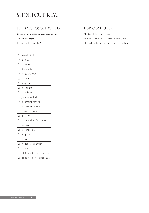# SHORTCUT KEYS

### FOR MICROSOFT WORD FOR COMPUTER

**Do you want to speed up your assignments?** Alt tab – flick between screens

| Ctrl a - select all                    |
|----------------------------------------|
| Ctrl b - bold                          |
| Ctrl $c$ - $copy$                      |
| Ctrl d - font box                      |
| Ctrl e - centre text                   |
| Ctrl f - find                          |
| Ctrl g – go to                         |
| Ctrl h - replace                       |
| Ctrl i - italicise                     |
| Ctrl j - justified text                |
| Ctrl k - insert hyperlink              |
| Ctrl n - new document                  |
| Ctrl o - open document                 |
| Ctrl $p$ – print                       |
| Ctrl r - right side of document        |
| Ctrl $s$ – save                        |
| Ctrl u - underline                     |
| Ctrl $v -$ paste                       |
| $Ctrl x - cut$                         |
| Ctrl y - repeat last action            |
| Ctrl z - undo                          |
| Ctrl shift $\lt$ - decreases font size |
| Ctrl shift $>$ - increases font size   |

**Use shortcut keys!** *Note: just tap the 'tab' button while holding down 'alt'.* \*Press all buttons together\* Ctrl roll (middle of mouse) – zoom in and out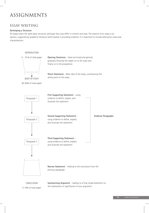# ASSIGNMENTS

### ESSAY WRITING

#### **Developing a Structure**

All essays share the same basic structure, although they may differ in content and style. The essence of an essay is an opinion, supported by academic literature which assists in providing evidence. It is important to include alternative views and interpretations.



5-10% of total paper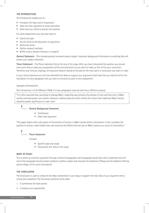#### **THE INTRODUCTION**

The Introduction enables you to:

- Introduce the topic and its importance
- State the main argument or issues discussed
- State how you intend to answer the question

For some assignments you may also need to:

- Clarify the topic
- Set the limits to the discussion or arguments
- Define key terms
- Outline research methods
- Briefly review relevant literature or research

**General Statement** – This includes general comments about subject, important background information or anything that will attract your reader's attention.

**Thesis Statement** – The Thesis statement forms the core of the essay. After you have interpreted the question you should have some idea on what your *proposition* will be and what point do you want to make, as this will be your conclusion. Therefore your lectures, readings, writings and research should be focused on the main point or conclusion you want to make.

In your thesis statement you will have identified key ideas to support your arguments. Each idea that you identify will be the foundation of every paragraph that you want to construct as part of your assignment.

#### *Example of Introduction*

This introduction is from Mikaere (1994). It is two paragraphs long and each has a different purpose.

"It is often assumed that, according to tikanga Māori, leadership was primarily the domain of men and that men in Māori society exercised power over women. However, evidence abounds which refutes the notion that traditional Māori Society attached greater significance to male roles."

#### **General Background Comments**

- Clarification
- State main argument

"This paper begins with a discussion of the position of women in Māori society before colonisation. It then considers the position of women under English law, and examines the effects that law has on Māori women as a result of colonisation."

**Thesis Statement**

Includes:

- Specific topic and scope
- Plan/outline the 'body of the essay'

#### **BODY OF ESSAY**

This is where you build an argument through a series of paragraphs. Each paragraph should start with a statement and the rest of the paragraph should contain evidence to define, explain and illustrate the statement. (Please see the Academic Writing section (Page 21) for more information)

#### **THE CONCLUSION**

The Conclusion is used to collate all the ideas represented in your essay to support the main idea of your argument with a strong final statement. The Conclusion performs three tasks:

- 1. It summarises the main points.
- 2. It restates your argument(s).

STUDENT STUDY GUIDELINES **14**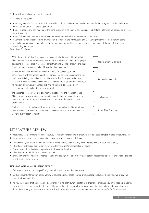3. It provides a final comment on the subject.

Please note the following:

- Avoid begining the Conclusion with "In conclusion…" A concluding signal may be used later in the paragraph, but the reader should be able to see that this is the last paragraph.
- Do not introduce any new material in the Conclusion. Finish strongly with an original and striking statement. Do not end on a cliché or just fade out.
- Avoid finishing with a quote you should make sure your voice is the last one the reader hears
- A very simple way to start writing a Conclusion is to reword the Introduction and vice versa (Note: this is just a starting point)
- A concluding sentence is especially useful for long paragraphs. It has the same functions and many of the same features as a concluding paragraph.

#### *Example of Conclusion*

"With the wealth of historical evidence showing clearly the leadership roles that Māori women have performed over time, why has it become so common for people to assume that leadership in Māori society is traditionally a male preserve and that female roles are considered to be of less value than male roles?

No matter how wide-ranging their iwi affiliations, for some reason the achievements of these women have been marginalised as being 'exceptions to the rule', the rule being that only men could be leaders. The facts give the lie to any such rule of male leadership, relegating it to the category of yet another stereotype. As with any stereotype, it is unfounded. And its potential to become a selfperpetuating truth, makes it extremely harmful.

The challenge for Māori, women and men, is to rediscover and reassert tikanga Māori within our own whānau, and to understand that an existence where men have power and authority over women and children is not in accordance with tikanga Māori.

Such an existence stems instead from an ancient common law tradition that has been imposed upon Māori. A tradition which we have no affinity with and which we have every reason to reject."



### LITERATURE REVIEW

A literature review is an extensive, detailed survey of relevant research and/or theory related to a specific topic. A good literature review does not just describe previous research, but is analytical and evaluative. It should:

- Demonstrate your understanding of current thinking and research, and any recent developments in your field of study
- Identify key authors and important theoretical, technical and/or methodological issues
- Show any relationships between previous studies and/or theories
- Identify gaps or limitations in previous research
- Show how previous research is related to your own topic (if the literature review is part of a research proposal or project) and provide a justification for your work

#### **STEPS FOR WRITING A LITERATURE REVIEW**

- 1. Define your topic and, more specifically, determine its focus and the parameters.
- 2. Gather relevant information from a variety of sources, such as books, journal articles, research studies, theses, reviews, interviews, case studies or statistics.
- 3. As you **read**, make brief notes in your own words. Writing short summaries for each chapter or article, as you finish reading, is useful. However, it is also important to interconnect between the different articles. Focus on understanding and evaluating what you read. Think about what you have learnt from the article; its strengths and weaknesses, and how it might be useful for future research.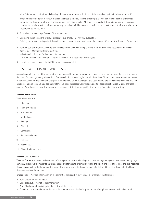Identify important key topic words/headings. Record your personal reflections, criticisms, and any points to follow up or clarify.

- 4. When writing your literature review, organise the material into key themes or concepts. Do not just present a series of abstracts! Group similar studies, with the most important ones described in detail. Mention less important studies by stating *the results are confirmed in similar studies* … without describing them in detail. Use examples or evidence, such as theories, studies, or statistics, to support the points you make.
- 5. Think about the wider significance of the material by:
- Discussing the implications of previous research e.g. *Much of the research suggests* …
- Relating this research to important theoretical concepts and to your own insights. For example, *these studies all support the idea that …*
- Pointing out gaps that exist in current knowledge on the topic. For example, *While there has been much research in the area of …, there is a need for more extensive study in ...*
- Indicating directions for further study. For example, *Further research must focus on … There is a need for … It is necessary to investigate ...*
- 6. Use internet search engines to find "literature review examples"

### GENERAL REPORT WRITING

A report is another accepted form of academic writing used to present information on a researched issue or topic. The basic structure for the body of a report generally follows that of an essay in that it has a beginning, middle and end. These components sometimes consist of numerous sections depending on the specific requirements of the audience or end-user. Reports are divided under headings and subheadings, and numbered using a decimal system. This helps the reader work through and find specific sections easily using the table of contents. You should check with your course coordinator or tutor for any specific structure requirements, prior to writing.

#### **REPORT STRUCTURE**

The basic structure is:

- 1. Title Page
- 2. Table of Contents
- 3. Introduction
- 4. Methodology
- 5. Findings
- 6. Discussion
- 7. Conclusions
- 8. Recommendations
- 9. References
- 10. Appendices
- 11. Glossaries (if applicable)

#### **REPORT COMPONENTS**

**Table of Contents** – Shows the breakdown of the report into its main headings and sub-headings, along with their corresponding page numbers. This allows the reader to have easy access or reference to information within the report. The font of headings and sub-headings should appear as they do throughout the report. The table of contents should include or be followed by a list of Figures/Tables/Photos etc. if any are used within the report.

**Introduction** – Provides information on the content of the report. It may include all or some of the following:

- State the purpose of the report
- General layout or format of the information
- A brief background, to distinguish the context of the report
- Provide scope or boundaries for the report i.e. what aspects of the initial question or main topic were researched and reported

STUDENT STUDY GUIDELINES **16**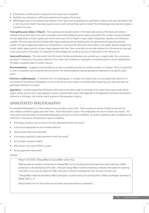- A timeframe of which specific components of the report were completed
- Highlight any constraints or difficulties experienced throughout the process
- Methodology used in the collection and collation of the report such as qualitative or quantitative research, who was interviewed, how or why they were chosen? how many questions were used? and were they open or closed? The methodology could also be included as a section of its own.

**Findings/Discussion (Body of Report)** – This is generally the greatest section of the report and consists of the facts and evidence relating to the primary topic from which conclusions and recommendations can be drawn and justified. The number of issues discussed will vary depending on certain aspects such as the word count limit or length of report, depth of discussion required, and information available. This main body should be divided under logical headings and sub-headings with the appropriate corresponding decimal number. The use of supporting evidence can be beneficial in conveying the information more clearly to the reader. Optional supplements include: tables, graphs, photos, pictures, maps, diagrams then lists. These visual aids not only help interpret the information but also add to the visual layout of the report. It is important to acknowledge and include all sources of information in the reference list.

**Summary/Conclusions** – The main points from the results, findings and discussion are summed up in a logical order, then conclusions are drawn in reference to the primary objective of the report. Any limitations or subsequent unresolved questions can be highlighted to the reader as possible areas for further research.

**Recommendations** – Suggested recommendations are given as possible solutions for solving a problem or situation. These are presented in order of importance and should be clear and concise. The recommendations may be expressed as statements or as specific bullet points.

**Reference List/Bibliography** – A reference list is not a bibliography. It includes only material that you have specifically referred to in the content of the writing. A bibliography is a list of sources you have viewed or consulted while researching your topic, but have not specifically referred to in content.

**Appendicies** – Contains supporting information which may not be ideal to add into the body of the report. These may include: tables, graphs, photos, pictures, lists, maps, diagrams, survey or questionnaire sheets. Each Appendix in the Appendicies should be mentioned or referred to in the report. Use internet search engines to find examples of reports.

### ANNOTATED BIBLIOGRAPHY

An annotated bibliography is a critical analysis of sources about a given topic. These sources can consist of books, journal articles, press releases, conference papers and other works. A brief description (usually 150 words) about that source follows that citation. The information contained within an annotated bibliography will look at a source's credibility. Its authors, publishers, date of publication and references in that source, will determine a source's credibility.

- Think about questions such as: How is the topic approached within the source?
- Is the source appropriate for the intended audience?
- Does any area need to be improved?
- Is the author qualified to make arguments within the source?
- Are the topics covered in depth?
- How recent is the source? Within 2 years?
- Do the arguments make sense?

#### Example:

Mead, H. M. (2003). *Tikanga Māori: Living by Māori values*. Huia.

Mead provides an excellent introduction to tikanga Māori as he contributes personal experiences when looking at a Māori perspective to the developing world order. Although tikanga Māori could be considered a relatively new subject for teaching institutions, it is a very old subject for Māori who wish to recover knowledge that over the years has been lost.

"Tikanga Māori might be described as Māori philosophy in practice and as the practical face of Māori knowledge" according to (Mead, 2003, p. 7).

Going forward into the future there are still many issues that need to be addressed …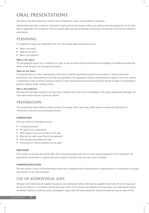# ORAL PRESENTATIONS

Seminars or oral presentations are another form of assessment used in many academic institutions.

A presentation generally involves an individual or a group delivering a subject orally to an audience and may employ the use of visual aids to supplement the oral delivery. There are several steps that can be followed to help ensure the delivery of an effective seminar or presentation.

### PLANNING

It is important to plan your presentation first. This may include addressing issues such as:

- What is the topic?
- What are the aims?
- Who is the audience?

#### **What is the Topic?**

This will generally require you to research your topic so that you have enough information and knowledge to confidently develop and deliver a well-thought out, thorough presentation.

#### **What are the Aims?**

It is essential there is a clear understanding of the aims or specific requirements wanted by the assessor or people marking the presentation. This understanding will provide some guidance in the preparation process, highlighting what aspects need to be covered or addressed in order to achieve maximum results. In some instances these aims and requirements may be included in the assessment question handout and/or marking criteria.

#### **Who is the Audience?**

Knowing who the target audience is will give some indication as to their level of knowledge on the subject, appropriate language, and information which may be of particular interest.

### PREPARATION

Your presentation should follow a similar structure to an essay, with a beginning, middle and an end, generally defined by an introduction, discussion and summary/conclusion.

#### **INTRODUCTION**

This may consist of information such as:

- Introducing yourself
- The topic of your presentation
- What angle or focus you will take on the topic
- What are the main issues that will be presented
- How long the presentation will take
- Instructions on if/when questions can be asked

#### **DISCUSSION**

This is where you actually discuss the topic, which should be broken down into the main issues emphasised in the introduction. The presentation should flow in a logical order with an ease of transition from one main point to another.

#### **SUMMARY/CONCLUSION**

The main points or issues of the presentation should be re-emphasised and a final sentence or statement given to summarise or conclude your position on the topic discussed.

### USE OF AUDIOVISUAL AIDS

Although some individuals are capable of giving an oral presentation without the need for supplementary tools, the use of visual aids can be very effective in conveying a presentation topic. Some of the various tools available for enhancing an oral presentation include: whiteboard, flipcharts, handouts, props, photographs, maps, audio and visual equipment. Visual and audio aids may be used entirely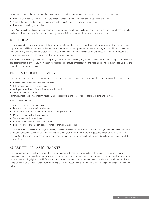throughout the presentation or at specific intervals where considered appropriate and effective. However, please remember:

- Do not over-use audiovisual aids they are merely supplements. The main focus should be on the presenter.
- Visual aids should not be complex or confusing as this may be too distracting for the audience.
- Do not spend too long on one slide

PowerPoint projector units are common equipment used by many people today. A PowerPoint presentation can be developed relatively easily, and with the ability to incorporate enhancing characteristics such as sound, pictures, photos, and colour.

### REHEARSAL

It is always good to rehearse your presentation several times before the actual seminar. This should be done in front of a suitable person or persons, who will be able to provide feedback as to what aspects of your presentation need improving. You should also become more familiar with any technical equipment (e.g. slides) to be used and fine-tune the delivery to the prescribed time limit. Run through the presentation as many times as you feel is sufficient to present confidently.

Even after all the necessary preparation, things may still turn out unexpectedly so you need to keep this in mind. Even just acknowledging this possibility could prevent you from becoming 'freaked out' – maybe unnecessarily – and freezing up. Therefore, have backup plans and alternative delivery options ready if needed.

### PRESENTATION DELIVERY

If you are well prepared, you will increase your chances of completing a successful presentation. Therefore, you need to ensure that you:

- Have all the information and equipment ready;
- fully understand your proposed topic;
- anticipate possible questions which may be asked; and
- are in suitable frame of mind.

Remember, most people feel uncomfortable giving public speeches and that it will get easier with time and practice.

Points to remember are:

- Arrive early with all required resources
- Ensure you are not lacking in food or water
- Try to remain calm, and remember, do not rush your presentation
- Maintain eye contact with your audience
- Try to interact with the audience
- Vary your tone of voice avoid a monotone
- Do not read your presentation, only use notes as prompts when needed

If using aids such as PowerPoint or projector slides, it may be beneficial to utilise another person to change the slides to help minimise distraction. It would be beneficial to obtain feedback following your presentation, in order to get some indication as to how it went. This may be in the form of audience response or assessment marks given. The feedback will provide a basis for improvement with future presentations.

### SUBMITTING ASSIGNMENTS

It may be a requirement to attach a cover sheet to your assignment, check with your lecturer. The cover sheet must accompany all assignments handed in to Awhi Tauira for reviewing. This document informs assessors, lecturers, support staff and moderators of your personal details. It highlights critical information like your name, student number and assignment details. Also, very important, is the student declaration text box at the bottom, which aligns with APA requirements around your awareness regarding plagiarism. Example follows: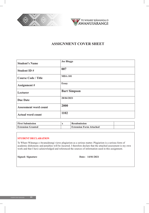



### **ASSIGNMENT COVER SHEET**

| <b>Student's Name</b>        | <b>Joe Bloggs</b>   |
|------------------------------|---------------------|
| <b>Student ID#</b>           | 007                 |
| <b>Course Code / Title</b>   | <b>MDA101</b>       |
| <b>Assignment</b> #          | <b>Essay</b>        |
| Lecturer                     | <b>Bart Simpson</b> |
| <b>Due Date</b>              | 28/04/2021          |
| <b>Assessment word count</b> | 2000                |
| <b>Actual word count</b>     | 1102                |

| <b>First Submission</b>  | <b>Resubmission</b>            |  |
|--------------------------|--------------------------------|--|
| <b>Extension Granted</b> | <b>Extension Form Attached</b> |  |

#### **STUDENT DECLARATION**

Te Whare Wānanga o Awanuiārangi views plagiarism as a serious matter. Plagiarism is a serious form of academic dishonesty and penalties will be incurred. I therefore declare that the attached assessment is my own work and that I have acknowledged and referenced the sources of information used in this assignment.

**Signed: Signature Date: 14/01/2021**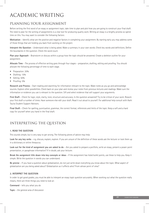# ACADEMIC WRITING

### PLANNING YOUR ASSIGNMENT

Before writing the first word of an essay or assignment topic, take time to plan and plot how you are going to construct your final draft. The need to plan for the writing of assignments is a vital tool for producing quality work. Writing an essay is a lengthy process so spend time on this. You may want to consider the following factors:

**Motivation** – Identify what are the positive and negative factors in completing your assignment. By starting early you may address some of those things that are holding you back from working on the project.

**Interpret the Question** – Understand what is being asked. Make a summary in your own words. Check key words and definitions. Define the boundaries in the question. Check the word count.

**Plan your Approach** – Brainstorm or discuss within a group how the topic should be answered. Create a skeleton outline for your assignment.

**Allocate Time** – The process of effective writing goes through four stages – preparation, drafting, editing and proofing. You should allocate the following percentage of time to each stage.

- Preparation: 30%
- Drafting: 15%
- Editing: 50%
- Proofing: 5%

**Research and Process** – Start reading and searching for information relevant to the topic. Make notes as you go and acknowledge sources. Explore other possibilities. Check back on your plan and review your notes from previous lectures and readings. Make sure the information or evidence you use is relevant to the question. Sift and select evidence that will support your arguments.

**First Draft** – Check for logic, style, clarity, tone, structure and accuracy. Is the question answered? Try to be critical of your work. Rework your first draft a number of times. Have someone else edit your draft. Read it out aloud to yourself. For additional help consult with Awhi Tauira Student Support Advisors.

**Final Draft** – Check for spelling, punctuation, grammar, the correct format, references and limits of the topic. Keep a soft and a hard copy for yourself when you hand in the final draft.

### INTERPRETING THE QUESTION

#### **1. READ THE QUESTION**

This sounds simple, but is very easy to get wrong. The following pieces of advice may help:

**Look for any key verbs** – e.g. discuss, explain, explore. If you are unsure of the definition of these words ask the lecturer or look them up in a dictionary or online thesaurus.

**Look out for the kind of assignment you are asked to do** – Are you asked to prepare a portfolio, write an essay, present a power point presentation, or paraphrase information? If in doubt, ask your lecturer.

**Break the assignment title down into key concepts or ideas** – If the assignment has listed bullet points, use these to help you. Keep it simple. Write the question in words you can understand.

**Be precise** – If you have a question about globalization, do not just write down everything you know about the topic. What aspect of globalization are you being asked about? Globalization as it affects who? From whose point of view?

#### **2. INTERPRET THE QUESTION**

In order to get good grades, you must be able to interpret an essay topic question accurately. When working out what the question really means, there are three things you need to look at:

**Command** – tells you what you do

**Topic** – the general area of discussion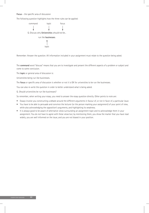#### **Focus** – the specific area of discussion

The following question highlights how the three rules can be applied:



Remember: Answer the question. All information included in your assignment must relate to the question being asked.

The **command** word "discuss" means that you are to investigate and present the different aspects of a problem or subject and come to some conclusion.

The **topic** or general area of discussion is:

Universities being run like businesses.

The **focus** or specific area of discussion is whether or not it is OK for universities to be run like businesses.

You can also re-write the question in order to better understand what is being asked.

Q. *Should* universities be run like businesses?

So remember, when writing your essay, you need to answer the essay question directly. Other points to note are:

- Essays involve you constructing a debate around the different arguments in favour of, or not in favor of, a particular issue.
- You have to be able to persuade and convince the lecturer (or the person marking your assignment) of your point of view, while also acknowledging the opposition's arguments, and highlighting its weakness.
- It is always good to be aware of alternative views surrounding an assignment topic and to acknowledge them in your assignment. You do not have to agree with these views but, by mentioning them, you show the marker that you have read widely, you are well informed on the issue, and you are not biased in your position.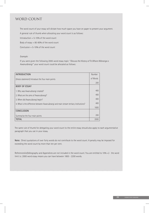### WORD COUNT

The word count of your essay will dictate how much space you have on paper to present your argument.

A general rule of thumb when allocating your word count is as follows:

Introduction = 5-10% of the word count

Body of essay = 80-90% of the word count

Conclusion  $= 5 - 10\%$  of the word count

#### *Example:*

If you were given the following 2000-word essay topic: "*Discuss the History of Te Whare Wānanga o Awanuiārangi* " your word count could be allocated as follows:

| <b>INTRODUCTION</b>                                                                   | Number   |
|---------------------------------------------------------------------------------------|----------|
| (thesis statement) Introduce the four main points                                     | of Words |
|                                                                                       | 200      |
| <b>BODY OF ESSAY</b>                                                                  |          |
| 1. Why was Awanuiarangi created?                                                      | 400      |
| 2. What are the aims of Awanuiarangi?                                                 | 400      |
| 3. When did Awanuiarangi begin?                                                       | 400      |
| 4. What is the difference between Awanuiarangi and main stream tertiary institutions? | 400      |
|                                                                                       | 1600     |
| <b>CONCLUSION</b>                                                                     |          |
| Summarise the four main points                                                        | 200      |
| <b>TOTAL</b>                                                                          | 2000     |

The same rule of thumb for delegating your word count to the entire essay should also apply to each argumentative paragraph that you use in your essay.

**Note:** Direct quotations of over forty words do not contribute to the word count. A penalty may be imposed for exceeding the word count by more than ten per cent.

Referenceslist/biblography and Appendices are not included in the word count. You are entitled to 10% +/- the word limit i.e. 2000 word essay means you can have between 1800 - 2200 words.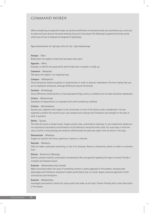### COMMAND WORDS

*When considering an assignment topic, be careful as definitions of command words can sometimes vary, so be sure to check with your lecturer the exact meaning if you are in any doubt. The following is a general list of key words which you will use to interpret an assignment topic/essay.*

Ngā whakamārama mō ngā kupu tohu kei roto i ngā whakatuanga

**Analyse** – *Tātari* Break down the subject at hand and talk about each point.

**Appraise** – *Wāriu* Evaluate, to identify the good points and the bad ones; to assess or weigh up.

**Comment** – *Whakataki*  Talk about the subject in an organised way.

**Compare** – *Whakatairite*

Show similarities. Examine qualities or characteristics in order to discover resemblance. The term implies that you are to emphasise similarities, although differences may be mentioned.

**Contrast** – *Rerekētanga*  Show differences. Dissimilarities or how associated things, events, or problems are not alike should be emphasised.

**Criteria** – *Whakaritenga* Standards of measurement or a standard with which something is defined.

**Criticise** – *Wetewhakaaro*

Express your judgment with respect to the correctness or merit of the factors under consideration. You are expected to present the results of your own analysis and to discuss the limitations and strengths of the plan or work in question.

#### **Define** – *Tautuhi*

Tell what this word or phrase means. Supply concise, clear, authoritative meanings. In such statements, details are not required but boundaries and limitations of the definition should be briefly cited. You must keep in mind the class to which a thing belongs and whatever differentiates the particular object from all others in the class.

**Demonstrate** – *Whakaatu*

Support an opinion with facts, experience, citations, or theories.

**Describe** – *Whakaatu*

Help the reader understand something, or 'see it' by 'showing'. Recount, characterise, sketch or relate in a narrative form.

#### **Discuss** – *Kōrerorero / Wānanga*

Examine, analyse carefully, and present considerations (for and against) regarding the topics involved. Provide a complete and detailed answer.

#### **Evaluate** – *Whakamātau (ria) / Arotake*

Make conclusions about the value of something. Present a careful appraisal of the problem, stressing both advantages and limitations. Evaluation implies authoritative and, to a lesser degree, personal appraisal of both contributions and limitations.

#### **Examine** – *Whakamātau*

Investigate and analyse in detail the various parts that make up the topic. Present findings with a clear description of the details.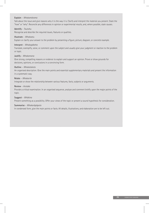#### **Explain** – *Whakamārama*

Talk about the issue and give reasons why it is the way it is. Clarify and interpret the material you present. State the "how" or "why". Reconcile any differences in opinion or experimental results, and, where possible, state causes.

#### **Identify** – *Tautohu*

Recognise and describe the required issues, features or qualities.

#### **Illustrate** – *Whakaatu*

Explain or clarify your answer to the problem by presenting a figure, picture, diagram, or concrete example.

#### **Interpret** – *Whakapākeha*

Translate, exemplify, solve, or comment upon the subject and usually give your judgment or reaction to the problem or topic.

#### **Justify** – *Whakamana*

Give strong, compelling reasons or evidence to explain and support an opinion. Prove or show grounds for decisions, opinions, or conclusions in a convincing form.

#### **Outline** – *Whakatakoto*

An organised description. Give the main points and essential supplementary materials and present the information in a systematic way.

#### **Relate** – *Whakarite*

Integrate or show the relationship between various features, facts, subjects or arguments.

#### **Review** – *Arotake*

Provide a critical examination. In an organised sequence, analyse and comment briefly upon the major points of the topic.

#### **Suggest** – *Whākina*

Present something as a possibility. Offer your views of the topic or present a sound hypothesis for consideration.

#### **Summarise** – *Whakarāpōpoto*

In condensed form, give the main points or facts. All details, illustrations, and elaboration are to be left out.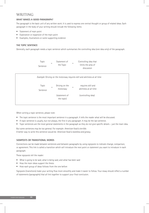### WRITING

#### **WHAT MAKES A GOOD PARAGRAPH?**

The paragraph is the basic unit of any written work. It is used to express one central thought or group of related ideas. Each paragraph in the body of your writing should include the following items:

- Statement of main point
- Exploration or expansion of the main point
- Examples, illustrations or some supporting evidence

#### **THE TOPIC SENTENCE**

Generally, each paragraph needs a topic sentence which summarises the controlling idea (one idea only) of the paragraph.



When writing a topic sentence, please note:

- The topic sentence is the most important sentence in a paragraph. It tells the reader what will be discussed.
- A topic sentence is usually, but not always, the first in any paragraph. It may be the last sentence.
- Topic sentences are the most general statements in the paragraph as they do not give specific details just the main idea.

But some sentences may be too general. For example: *American food is terrible.* A better way to write this sentence would be: *American food is tasteless and greasy.*

#### **SIGNPOSTS OR TRANSITIONAL WORDS**

Connections can be made between sentences and between paragraphs by using signposts to indicate change, comparison, or agreement. This link is called a transition which will introduce the next point or statement you want to introduce in each paragraph.

These signposts tell the reader:

- What is going to be said, what is being said, and what has been said
- How the main ideas support the thesis
- How each group of ideas follows from the one before

Signposts (transitions) make your writing flow more smoothly and make it easier to follow. Your essay should reflect a number of statements (paragraphs) that all link together to support your final conclusion.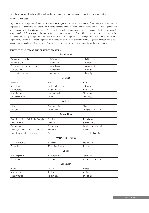The following example is how all the technical requirements of a paragraph can be used to develop one idea.

#### *Example of Signposts*

(*Topic Sentence*) Incorporation (*topic*) offers several advantages to business and their owners (*controlling idea*). For one thing (*signpost*), ownership is easy to transfer. The business is able to maintain a continuous existence even when the original owners are no longer involved. In addition, (*signpost*) the stockholders of a corporation are not held responsible for the business's debts (*explanation*). If XYZ Corporation defaults on a \$1 million loan, for example, (*signpost*) its investors will not be held responsible for paying that liability. Incorporations also enable a business to obtain professional managers with centralised authority and responsibility; (*example*) therefore, (*signpost*) the business can be run more efficiently. Finally, (*signpost*) incorporation gives a business certain legal rights. For example, (*signpost*) it can enter into contracts, own property, and borrowing money.

#### **SENTENCE CONNECTORS AND SENTENCE STARTERS**

**Introduction**

| The central theme is      | is included   | is identified |
|---------------------------|---------------|---------------|
| Emphasised are            | is defined    | is examined   |
| A view on  range from  to | is explained  | is analysed   |
| is explored               | is described  | is discussed  |
| is briefly outlined       | are presented | is critiqued  |

**Contrast**

| However         | Yet               | That aside,  |
|-----------------|-------------------|--------------|
| In contrast     | On the other hand | disputes     |
| Nevertheless    | By comparison     | Then again   |
| Nonetheless     | Comparatively     | All the same |
| On the contrary | Instead           | In any case  |

#### **Similarity**

| Likewise  | Correspondingly | $\mathsf{A}$ lso,     |
|-----------|-----------------|-----------------------|
| Similarly | In the same way | Complementary to this |

#### **To add ideas**

| First, firstly, first of all, in the first place | Besides     | To elaborate              |
|--------------------------------------------------|-------------|---------------------------|
| To begin with                                    | In addition | Subsequently              |
| For one thing                                    | Furthermore | Another essential point   |
| Second, secondly, in the second place            | Moreover    | Finally                   |
| Third, thirdly, in the third place               | Next        | Last, lastly, last of all |

#### **Order of importance**

| Most importantly | ' Above all        | Essentially            |
|------------------|--------------------|------------------------|
| Primarily        | Most significantly | <sup>1</sup> Basically |

### **Linking** With respect to  $|$  With regard to  $|$ Talking of Regarding  $\vert$  As regards  $\vert$  As regards  $\vert$  As far as ... concerned

#### **Conclusion**

| In brief,     | ' To review, | Hence.      |
|---------------|--------------|-------------|
| In summary,   | In short.    | All in all. |
| To summarise, | To sum up,   | In closing, |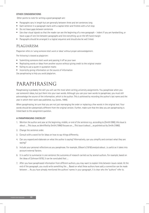#### **OTHER CONSIDERATIONS**

Other points to note for writing a good paragraph are:

- Paragraphs vary in length but are generally between three and ten sentences long
- Each sentence in a paragraph starts with a capital letter and finishes with a full stop
- Do not leave gaps between sentences
- Use clear visual signals so that the reader can see the beginning of a new paragraph indent if you are handwriting, or leave a gap of one line between paragraphs and line everything up on the left hand margin
- Paragraphs should be arranged in a logical sequence and should also be well linked.

### PLAGIARISM

Plagiarism refers to 'using someone else's work or ideas' without proper acknowledgement.

The following is classed as plagiarism:

- Submitting someone else's work and passing it off as your own
- Replicating words or ideas from another source without giving credit to the original creator
- Failing to use a quote in quotation marks
- Incorrectly giving information on the source of information

Use paraphrasing to help you avoid plagiarism.

# PARAPHRASING

Paraphrasing is probably the skill you will use the most when writing university assignments. You paraphrase when you use someone's ideas, but put them into your own words. Although you use your own words to paraphrase, you must still acknowledge the source of the information, which is the author. This is achieved by recording the author's last name and the year in which their work was published, e.g. (Jones, 1999).

When paraphrasing, be sure that you are not just rearranging the order or replacing a few words in the original text. Your words should be substantially different from the original version. Further, make sure that the idea you are paraphrasing is linked back to the assignment question.

#### **A PARAPHRASING CHECKLIST**

- 1. Mention the author and year at the beginning, middle, or end of the sentence e.g. *according to (Smith1990), this issue is about …, This issue, as identified by Smith (1990) focuses on…, This issue is about…, as pointed out by Smith (1990).*
- 2. Change the sentence order.
- 3. Consult with a word list for ideas on how to say things differently.
- 4. Can you expand and elaborate on what the author is saying? Alternatively, can you simplify and contract what they are saying?
- 5. Include your personal reflections as you paraphrase. For example, *Gibson's (1978) analysis about*…is useful as it takes into account external factors.
- 6. It is useful to summarize in one sentence the outcomes of research carried out by several authors. For example, based on the ideas of (Johnson1979), it can be concluded that …
- 7. After you have paraphrased information from different authors, you may want to explain links between issues raised. At the end of the paragraph, you could write something like … Based on what these authors have said, a connection can be made between … As you have already mentioned the authors' names in your paragraph, it is clear who the "authors" refer to.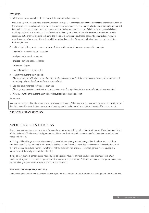#### **FIVE STEPS**

1. Write down the paragraph/sentence you wish to paraphrase. For example:

Park, J. (Ed.). (1991). *Ladies a plate.* Auckland University Press (p. 113). Marriage was a greater influence on the course of many of the women's lives than choice of job or career, or even family background. Yet few women talked about choosing to get married (although choice may be a misnomer) in the same way they talked about career choices. Relationships are generally believed to belong to the realm of emotion, and 'we fell in love' or 'then I got married' suffices. The decision to marry is not usually something to be analysed or explained, nor is the choice of a particular man. Indeed, both getting married and marrying a particular man often appeared to be inevitabilities rather than choices. Women did talk about how they met their future husbands, however.

2. Bold or highlight keywords, nouns or phrases. Note any alternative phrases or synonyms. For example:

**inevitable** – unavoidable, just accepted

**analysed** – discussed, considered

**choices** – options, opting, selection

**influence** – impact

**more than others** – significantly

- 3. Identify the author's main point(s): *Marriage influences life choice more than other factors. Few women talked about the decision to marry. Marriage was not something to be analysed or explained. It was inevitable.*
- 4. Can this be summarised further? For example: *Marriage was considered inevitable and impacted women's lives significantly. It was not a decision that was analysed.*
- 5. Now try rewriting the author's main point without looking at the original text.

*For example:*

Marriage was considered inevitable by many of the women participants. Although use of 'it' impacted on women's lives significantly, they did not consider their decision to marry, or whom they married, to be topics for analysis or discussion (Park, 1991, p. 113).

#### **THIS IS YOUR PARAPHRASED IDEA!**

### AVOIDING GENDER BIAS

"Biased language can cause your reader to focus on how you say something rather than what you say. If your language is free of bias, it should offend no one. Ideally, no one should even notice that you have made an effort to reduce sexually-biased words and phrases."

Achieving unbiased language, so that readers will concentrate on what you have to say rather than how you say it, is an admirable goal. It is also a necessity. For example, businesses and individuals have been sued because job descriptions used "he" and seemed to exclude women – whether or not the exclusion was intended. Therefore, gender-free language is a requirement of the workplace and the university.

It may be easy to avoid gender-biased nouns by replacing sexist nouns with more neutral ones: 'chairman' with *chair*, 'mailman' with *paper carrier*, and 'congressman' with *senator* or *representative*. But how can you avoid the pronouns *he*, *him*, and *his* when you refer to nouns meant to include both genders?

#### **FIVE WAYS TO REVISE YOUR WRITING**

The following five options will enable you to revise your writing so that your use of pronouns is both gender-free and correct.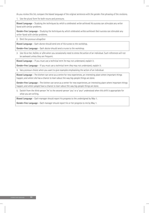As you review this list, compare the biased language of the original sentences with the gender-free phrasing of the revisions.

1. Use the plural form for both nouns and pronouns.

**Biased Language** – Studying the techniques by which a celebrated *writer* achieved *his* success can stimulate any writer faced with similar problems.

**Gender-free Language** – Studying the techniques by which celebrated *writers* achieved *their* success can stimulate any writer faced with similar problems.

2. Omit the pronoun altogether

**Biased Language** – Each *doctor* should send one of *his* nurses to the workshop.

**Gender-free Language** – Each *doctor* should send *a* nurse to the workshop.

3. Use *his or her, he/she*, or *s/he* when you occasionally need to stress the action of an individual. Such references will not be awkward unless they are frequent.

**Biased Language** – If you must use a technical term *he* may not understand, explain it.

**Gender-free Language** – If you must use a technical term *they* may not understand, explain it.

4. Vary pronoun choice when you want to give examples emphasising the action of an individual.

**Biased Language** – The kitchen can serve as a centre for new experiences, an interesting place where important things happen, and where *she* has a chance to learn about the way big-people things are done.

**Gender-free Language** – The kitchen can serve as a center for new experiences, an interesting place where important things happen, and where *people* have a chance to learn about the way big-people things are done.

5. Switch from the third-person 'he' to the second-person 'you' or a 'your' understood when this shift is appropriate for what you are writing.

**Biased Language** – Each manager should report his progress to the undersigned by May 1.

**Gender-free Language** – Each manager should report his or her progress to me by May 1.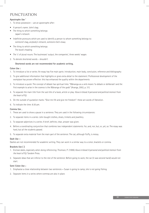### PUNCTUATION

#### **Apostrophe Use '**

- 1. To show possession use an apostrophe after:
- A person's name: John's bag
- The thing to which something belongs: Japan's network
- Indefinite pronouns which are used to identify a person to whom something belongs to: someone's bag, anybody's network, someone else's essay
- The thing to which something belongs: The book's heading
- The 's' of plural nouns: The businesses' output, the companies', three weeks' wages
- 2. To denote shortened words shouldn't

#### **Shortened words are not recommended for academic writing.**

#### **Colon Use :**

- 1. To introduce a list or series: An essay has five main parts: introduction, main body, conclusion, reference and bibliography
- 2. To give additional information that highlights or gives extra detail to the statement: Professional development of the workplace has proven effective: this has enhanced the quality within the departments
- 3. To introduce a quote: The concept of debate has spiritual links: "Wānanga as a verb means 'to debate or deliberate' and the first example to arise in the cosmos is the Wānanga of the gods" (Aranga, 2002, p. 31).
- 4. To separate the main title from the sub title of a book, article or play: *Kava in blood: A personal and political memoir from the heart of Fiji.*
- 5. On the outside of quotation marks: "Give me life and give me freedom": these are words of liberation.
- 6. To indicate the time: 8:30 pm.

#### **Comma Use ,**

- 1. These are used to show a pause in a sentence. They are used in the following circumstances:
- 2. To separate items in a series: John bought clothes, shoes, trinkets and jewellery.
- 3. To separate adjectives in a series: A brief, definite, clear, answer was given.
- 4. Before a coordinating conjunction that combines two independent statements: for, and, nor, but, or, yet, so: The essay was hard, but all the students passed.
- 5. To separate extra material from the main part of the sentence: The cat, although fluffy, is messy.

#### **Dash Use –**

Dashes are not recommended for academic writing. They can work in a similar way to a colon, brackets or comma.

#### **Brackets Use ( )**

- 1. Enclose dates, especially when doing referencing: Thomson, P. (1999). *Kava in blood: A personal and political memoir from the heart of Fiji.* Tandem Press.
- 2. Separate ideas that are inferior to the rest of the sentence: Before going to work, the car (it was second hand) would not start.

#### **Semi Colon Use ;**

- 1. Emphasise a close relationship between two sentences = Susan is going to camp; she is not going fishing.
- 2. Separate items in a series where commas are also in place.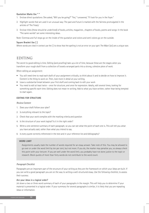#### **Quotation Marks Use " "**

- 1. Enclose direct quotations: She asked, "Will you be going?" "Yes," I answered, "I'll look for you in the foyer."
- 2. Highlight words that are used in an unusual way: The past and future is marked with the fairness promulgated in the articles of 'The Treaty'
- 3. Enclose titles (these should be underlined) of books, articles, magazines , chapters of books, poems and songs: In the book "The same worlds" are some interesting ideas.

Note: Commas and full stops go on the inside of the quotation and colons and semi colons go on the outside.

#### **Square Bracket Use [ ]**

Where words are cited in context use the [] to show that the spelling is not an error on your part: The Māori [sic] are a unique race.

### EDITING

The secret to good editing is time. Editing (and proofing) take up a lot of time, because these are the stages when you transform your rough draft from a collection of loosely-arranged parts into a strong, cohesive piece of work.

When editing an assignment:

- You will need time to read each draft of your assignment critically, to think about it and to decide on how to improve it. Content is the thing to work on. Then, look more in detail at your writing.
- Leave a substantial break between your first draft and coming back to edit your work
- You need to edit at least twice once for structure, and once for expression. Ideally, edit several times, looking for something specific each time. Editing does not mean re-writing. Add to what you have written, rather than being tempted to start again.

#### **EDITING FOR STRUCTURE**

#### *Review Content*

- 1. Does your draft follow your plan?
- 2. Is everything relevant to the topic?
- 3. Check that your work complies with the marking criteria and question
- 4. Is the structure of your work logical? Is it in the right order?
- 5. Write a one-sentence summary of each paragraph, so you can see what the point of each one is. This will tell you what you have actually said, rather than what you intend to say.
- 6. Is every quote correctly referenced in the text and in your reference list and bibliography?

#### **WORD LIMIT**

Assignments usually state the number of words required for an essay answer. Take note of this. You may be allowed to go over or under the word limit by ten per cent, but not more. If you do, the marker may penalise you, so always check this point with your lecturer. If you are well under the word limit, you probably have not done justice to the topic or research. Block quotes of more than forty words do not contribute to the word count.

#### *Paragraph Checklist*

Paragraphs are an important part of the structure of your writing as they are the framework on which your ideas are built. If you can write a good paragraph you are on the way to writing a well-structured essay. Use the following checklist, to assess their success:

#### **Are your ideas in a logical order?**

Jot down a two or three word summary of each of your paragraphs in the margin. This will help you to determine if your material is presented in a logical order. If your summary for several paragraphs is similar, it is likely that you are repeating ideas or information.

STUDENT STUDY GUIDELINES **32**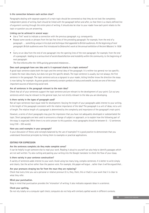#### **Is the connection between each section clear?**

Paragraphs dealing with separate aspects of a main topic should be connected so that they do not look like completely independent pieces of writing. Each should be linked with the paragraph before and after, so that there is a clearly defined line of argument running through the entire piece of writing. It should also be clear to your reader how each point relates to the topic or question you are answering.

#### **Linking can be achieved in several ways:**

- Use a "link" word to indicate a connection with the previous paragraph. e.g. consequently
- Repeat some words or phrases from the last few lines of the preceding paragraph. For example, from the end of a paragraph: … *something unique in his style and technique that appealed to British audiences. At the beginning of next paragraph: British audiences were first introduced to Delaroche's work at the annual exhibition of Ancient Masters' in 1938 …*
- Carry on an idea from the end of one paragraph into the opening lines of the next paragraph. For example, from the end of a paragraph: *leading to a serious level of social dissatisfaction and instability within the community*, to the beginning of next paragraph:

*The first reforms after the 1978 uprising generated imbalances …*

#### **Does each paragraph have one idea and is it expressed clearly in a topic sentence?**

A good topic sentence states both the topic and the central idea of the paragraph. It is neither too general nor too specific; it states the main idea clearly, but does not give the specific details. The topic sentence is usually, but not always, the first sentence in the paragraph. The topic sentence acts as a signpost to your reader, letting him/her know the direction the essay is now taking. For example: *As grave goods commonly contain symbols of status and wealth, burials are one of the most important sources of discerning social rank.*

#### **Are all sentences in the paragraph relevant to the main idea?**

Check that all of your sentences support the topic sentence and are relevant to the development of your point. Cut out any sentences which may be relevant to the general topic, but not strictly relevant to the idea you are developing.

#### **Is there variety in the types of paragraph used?**

Not all topic sentences have equal need for development. Varying the length of your paragraphs adds interest to your writing. Is the length of the paragraph consistent with the relative importance of the idea? The paragraph is a unit of ideas, not a unit of length. The relative length of a paragraph is determined by the complexity and importance of the paragraph's main point.

However, a series of short paragraphs may give the impression that you have not adequately developed or substantiated the topic. Short paragraphs are best used to announce a change of subject or approach, or to explain how the following part of the essay is organized. While there is no strict answer to this question, most paragraphs should be between 6 – 12 sentences long (100 – 200 words).

#### **Have you used examples in your paragraph?**

Is your discussion of theory and concepts balanced by the use of examples? It is good practice to demonstrate that you understand theoretical principles by linking them to examples or practical applications.

#### **EDITING FOR EXPRESSION**

#### **Are the sentences complete; do they make complete sense?**

It can be helpful to get someone else to read your work. Reading it aloud to yourself can also help to identify passages which are not well written. Try also cutting and pasting your writing into the Google translator to check the flow of your essay.

#### **Is there variety in your sentence construction?**

A variety of sentences adds interest to your work. Avoid using too many long, complex sentences. It is better to write simply and clearly. Use the active rather than the passive voice. For example, *this paper will argue* …rather than *it will be argued that*…

#### **Are your pronouns straying too far from the noun they are replacing?**

Check that every time you use a personal or relative pronoun (it is, they, them, this or that) in your work that it is clear to what they refer.

#### **Mind your punctuation.**

Keep in mind that punctuation provides the 'intonation' of writing. It also indicates separate ideas in a sentence.

#### **Check your spelling.**

Do not rely totally on a computer spell check; computers do not help with similarly spelled words in different contexts.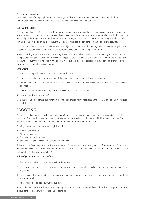#### **Check your referencing.**

Have you been careful to paraphrase and acknowledge the ideas of other authors in your work? Are your citations appropriate? Adhere to departmental guidelines as to how references should be presented.

#### **EDITING FOR STYLE**

What you say should not be obscured by how you say it. Academic prose should not be pompous and difficult to read. Some people mistakenly believe they should use complicated language – in fact you use the most appropriate word, which may not necessarily be the longest. Do not use three words if you can say it in one word. It is worth remembering that simplicity in writing is generally a sign of clarity of thought. Good academic prose is clear, concise, unambiguous and accurate.

Unless you are directed otherwise, it should also be as objective as possible, avoiding slang and emotionally-charged words. Check your vocabulary choice for accuracy and appropriateness, and avoid making generalisations.

Academic writing is quite formal and your writing should reflect the style of the discourse adopted in your subject area. For example, the writing style common in psychology is objective, the passive voice is used and it is inappropriate to use personal pronouns. However the writing style in Art History is more subjective and it is appropriate to use personal pronouns or to incorporate personal reflections in your work.

#### *Style Checks*

- 1. Is your writing precise and accurate? Cut out repetition or waffle.
- 2. Does your introduction state the purpose of the assignment clearly? Does it "hook" the reader in?
- 3. Are the main points clear and easy to follow? Try reading the draft aloud to someone else and see if they can follow your essay easily.
- 4. Does your writing flow? Is the language and tone consistent and appropriate?
- 5. Have you used your own words?
- 6. Is the conclusion an effective summary of the main line of argument? Does it leave the reader with a strong, memorable final statement?

### PROOFING

Proofing is the final polish stage. It should only take about 5% of the time you spend on your assignment, but it is still important. If your work contains spelling, punctuation or grammatical errors, the marker will think you are careless. First impressions count, so make sure your assignment is and looks thorough and professional.

Proofing is more than a quick read-through. It requires:

- Intense concentration
- Attention to detail
- The ability to remain focused
- Good knowledge of spelling, punctuation and grammar

Before you proofread, prepare yourself by making notes of your own weakness in language use. Note words you frequently misspell, bad habits like sprinkling commas around instead of full stops, and any points of grammar you are unsure of such as writing "affect" when you mean "effect".

#### **A Step-By-Step Approach to Proofing**

- 1. Read your work slowly, once, to get a feel for the sense of it.
- 2. Read the assignment silently again, ignoring the sense and looking carefully at spelling, punctuation and grammar. Correct any errors.
- 3. Read it again, this time aloud. This is a good way to pick up areas where your writing is clumsy or repetitious. Smooth out any rough patches.
- 4. Ask someone else to read your work aloud to you.

If the reader hesitates or stumbles, your writing may be awkward or not make sense. Rework it until another person can read it aloud confidently and with reasonable understanding.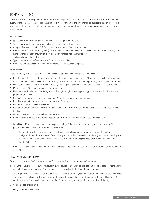### FORMATTING

Consider the way your assignment is presented. You will be judged on the standard of your work. While this is mainly the quality of the content, general appearance is important too. Remember, the first impression the reader gets of your work is visual and first impressions can be very influential. Care taken in presentation indicates a serious approach and gives your work credibility.

#### **TEXT FORMAT**

- Space once after a comma, colon, semi-colon, space single after a fullstop
- Space once after the full stop which follow the initials of an author's name
- A hyphen is a single dash (i.e. "-"). There should be no space before or after the hyphen
- Do not break up a word with a hyphen (-) at the end of a line. Place the word at the beginning of the next line. If you are using a word processor, ensure that the hyphenation function has been turned "off".
- Texts in Māori must include macrons
- Type numerals under 10 (1-9) as words. For example, one nine
- Do not begin a sentence with a numeral. For example, Three people were present

#### **PAGE FORMAT**

*(Note: an already formatted assignment template can be found on the Awhi Tauira eWānanga page)*

- Use black type: it is expected that all assignments will be word-processed or typed. This means they will be clear and easy to read and mark. You will need permission from your lecturer if you are not able to produce your assignments in this way.
- Font options include: Times New Roman 12-point, Arial 11-point, Georgia 11-point, and Lucida Sans Unicode 10-point
- Margins use a 2.54 cm margin on all sides of the page.
- Line up the left hand of your text (left justified). The right margin should appear "ragged" Indent the first line of every paragraph to 1.27cm.
- Use double line spacing for the entire document. Note: This includes the reference list.
- Use plain white A4 paper and print only on one side of the page.
- Number each page at the bottom centre.
- Please note that no marks will be given for colourful decorations or attractive borders unless the lecturer specifically asks for them.
- Written assessments can be submitted in te reo Māori.
- Blank space inserted above and below direct quotations of more than forty words see example below.

We all begin life as motivated learners, not as passive beings. Children learn by interacting and experimenting. They use play to internalise the meaning of words and experience.

But year by year their dynamic learning erodes in passive classrooms not organized around their cultural background, conditions or interest. Their curiosity and social instincts decline, until many become non-participants. It is not the fault of students if their learning habits wither inside the passive syllabus dominant in education (Smith, 1992, p. 17).

How in New Zealand did we end up with a two-tier system? We need to dip back into history starting with the Education Act of 1867.

#### **FINAL PRESENTATION FORMAT**

*(Note: an already formatted assignment template can be found on the Awhi Tauira eWānanga page)*

- 1. The Official Cover Sheet Your name, student ID, the course number, course title, assignment title, lecturer's name and the due date should be on an Awanuiārangi cover sheet and attached to the front of your assignment.
- 2. Title Page Your name, course code and course title, assignment number, lecturer's name and due date of the assignment should appear in a header at the upper right of the page. The assigned question should be written in bold and must be word for word as it appears in your course outline. Centre the assignment question in the middle of the page.
- 3. Contents Page (if applicable)
- 4. Essay Structure should include: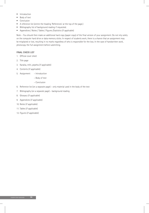- Introduction
- Body of text
- Conclusion
- A reference list (centre the heading 'References' at the top of the page.)
- Bibliography list of background reading if requested.
- Appendices / Notes / Tables / Figures /Statistics (if applicable)

Note – You should then make an additional hard copy (paper copy) of the final version of your assignment. Do not rely solely on the computer hard drive or data memory sticks. In respect of students work, there is a chance that an assignment may be misplaced or lost, resulting in no marks regardless of who is responsible for the loss. In the case of handwritten work, photocopy the full assignment before submitting.

#### **FINAL CHECK LIST**

- 1. Official cover sheet
- 2. Title page
- 3. Karakia, mihi, pepeha (if applicable)
- 4. Contents (if applicable)
- 5. Assignment Introduction
	- Body of text
	- Conclusion
- 6. Reference list (on a separate page) only material used in the body of the text
- 7. Bibliography (on a separate page) background reading
- 8. Glossary (if applicable)
- 9. Appendices (if applicable)
- 10. Notes (if applicable)
- 11. Tables (if applicable)
- 12. Figures (if applicable)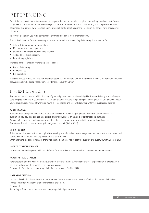# REFERENCING

Part of the process of completing assignments requires that you utilise other people's ideas, writings, and work within your assignments. It is crucial that you acknowledge all sources of information. If this is not done, you could present the work of someone else as your own, therefore opening yourself to the act of plagiarism. Plagiarism is a serious form of academic dishonesty.

To prevent plagiarism, you must acknowledge anything that comes from another source.

The academic method for acknowledging sources of information is referencing. Referencing is the method for:

- Acknowledging sources of information
- Meeting an academic requirement
- Supporting your views with concrete evidence
- Adding to academic credibility
- Preventing plagiarism

There are different types of referencing, these include:

- In-text Referencing
- Reference Lists
- Bibliographies

There are various formatting styles for referencing such as APA, Harvard, and MLA. Te Whare Wānanga o Awanuiārangi follow the American Psychological Association's (APA) Manual, Seventh Edition.

### IN-TEXT CITATIONS

Any sources that you refer to within the body of your assignment must be acknowledged both in-text (when you are referring to other people's work) and in your reference list. In-text citations includes paraphrasing and direct quotes. In-text citations support your discussion, are a record of where you found the information and acknowledge other writers' data, ideas and theories.

#### **PARAPHRASING**

Paraphrasing is using your own words to describe the ideas of others. All paraphrases require an author and year of publication. You could paraphrase a paragraph or sentence. Here is an example of paraphrasing a sentence. *Original:* When analysing Indigenous research there has been a significant rise in both the quantity and quality. *Paraphrase:* There has been an upsurge in Indigenous research (Smith, 2012).

#### **DIRECT QUOTES**

A direct quote is a passage from an original text which you are including in your assignment and must be the exact words. All quotes require: an author, year of publication and page number.

When analysing Indigenous research there "has been a significant rise in both the quantity and quality" (Smith, 2012, p. 249).

#### **IN-TEXT CITATION FORMATS**

In-text citations can be presented in two different formats, either as a parenthetical citation or a narrative citation.

#### **PARENTHETICAL CITATION**

Parenthetical is another work for brackets, therefore give the authors surname and the year of publication in brackets. In a parenthetical citation the emphasis is on your discussion.

For example: There has been an upsurge in Indigenous research (Smith, 2012).

#### **NARRATIVE CITATION**

In a narrative citation the authors surname is weaved into the sentence and the year of publication appears in brackets immediately after. A narrative citation emphasises the author. For example:

According to Smith (2012) there has been an upsurge in Indigenous research.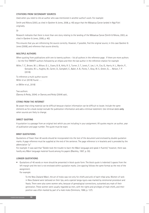#### **CITATIONS FROM SECONDARY SOURCES**

Used when you need to cite an author who was mentioned in another author's work. For example:

Smith and Nikora (2003, as cited in Gardner & Jones, 2008, p. 40) argue that the Mātaatua Canoe landed in Ngā Puhi originally.

Or

Research indicates that there is more than one story relating to the landing of the Mātaatua Canoe (Smith & Nikora, 2003, as cited in Gardner & Jones, 2008, p. 40).

This ensures that you are referencing the source correctly. However, if possible, find the original source, in this case Gardner & Jones (2008), and reference that source directly.

#### **MULTIPLE AUTHORS**

When quoting from publications with one to twenty authors – list all authors in the reference page. If there are more authors – list the first TWENTY authors followed by an ellipsis and then the last author in the reference citation for example

Miller, T. C., Brown, M. J., Wilson, G. L., Evans, B. B., Kelly, R. S., Turner, S. T., Lewis, F., Lee, L. H., Cox, G., Harris, H. L., Martin, P., Gonzalez, W. L., Hughes, W., Carter, D., Campbell, C., Baker, A. B., Flores, T., Gray, W. E., Green, G., … Nelson, T. P. (2018).

To reference a multi-author source: Miller et al. (2018) found . . .

or (Miller et al., 2018)

Two authors: (Dancey & Reidy, 2004). or Dancey and Reidy (2004) said...

#### **CITING FROM THE INTERNET**

Be aware that citing material can be difficult because citation information can be difficult to locate. Include the same elements as for a book except exclude the publication information and add a retrieval statement. Use retrieval dates **only** when sources are likely to change.

#### **DIRECT QUOTING**

A quotation is a passage from an original text which you are including in your assignment. All quotes require: an author, year of publication and page number. The quote must be exact.

#### **BRIEF QUOTATIONS**

Quotations of fewer than 40 words should be incorporated into the text of the document and enclosed by double quotation marks. A page reference must be supplied at the end of the sentence. The page reference is in brackets and is preceded by the abbreviation "p."

For example: It was said that "Goldie took the trouble to learn the Māori language and speak it fluently" however, there was hardly any Māori language material found among his papers (Blackley, 1997, p. 55).

#### **LONGER QUOTATIONS**

• Quotations of 40 words or more should be presented in block quote form. The block quote is indented 5 spaces from the left margin and the text is not enclosed within quotation marks. Line spacing follows the same format as the rest of the assignment.

For example:

To the New Zealand Māori, the art of moko was not only for chiefs and ariki of each tribal area. Women of rank in New Zealand were tattooed on their lips, and a special tanga ngutu was marked by ceremonial procedure and feasts. There were also some women who, because of genealogical connections, outranked any male of their generation. These women were usually regarded as men, with the rights and privileges of male chiefs, and their position was often marked by part of a male moko (Simmons, 1986, p. 127).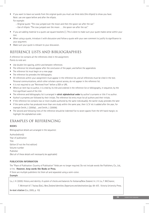• If you want to leave out words from the original quote you must use three dots (the ellipsis) to show you have. Note: use one space before and after the ellipsis.

For example:

- Original quote: "The cow jumped over the moon and then the spoon ran after the cat."
- Use of ellipsis: "The cow jumped over the moon . . . the spoon ran after the cat."
- If you are adding material to a quote use square brackets [ ]. This is done to make sure your quote makes sense within your text.
- When using a quote, introduce it with discussion and follow a quote with your own comment to justify its significance to your argument.
- Make sure your quote is relevant to your discussion.

### REFERENCE LISTS AND BIBLIOGRAPHIES

A reference list contains all the references cited in the assignment. Points to note are:

- Use double line spacing, within and between references
- The reference list should appear after the conclusion of the paper, and before the appendices
- The reference list must begin on a new page
- The reference list precedes the bibliography
- All references within your assignment must appear in the reference list, and all references must be cited in the text. Personal communications, which other scholars cannot access, do not appear in the reference list.
- It is not required to use "Retrieved from" before a DOI or URL
- Where an item has no author, it is cited by its title and ordered in the reference list or bibliography, in sequence, by the first significant word of the title
- The reference and bibliography list is arranged in **strict alphabetical order** by author's surname or title if no author.
- Author's surnames are followed by their initials. The reference list entry must list all authors and their initials.
- If the reference list contains two or more studies authored by the same individual(s), the earlier study precedes the later
- If the same author has produced more than one study within the same year, then 'a','b' etc is added after the year, for example Smith, J. (2000a) ... and Smith, J. (2000b).
- The second and following lines of the reference should be indented five to seven spaces from the left hand margin, to highlight the alphabetical order.

### EXAMPLES OF REFERENCING

#### **BOOKS**

Bibliographical details are arranged in the sequence:

Author/editor(s) Year of publication **Title** Edition (if not the first edition) Volume number Publisher (Not all of these details will necessarily be applicable)

#### **PUBLICATION INFORMATION**

The "Place of Publication: Country of Publication" fields are no longer required. Do not include words like Publishers, Co., Ltd.,

#### or Inc. **However, keep words like Books or Press.**

If there are multiple publishers list them all and separated using a semi-colon.

#### **Example**

Liu, J. H. (2005). History and identity: A system of checks and balances for Aotearoa/New Zealand. In J. H. Liu, T. McCreanor,

T. McIntosh & T. Teaiwa (Eds.), *New Zealand identities: Departures and destinations* (pp. 69—87). Victoria University Press.

**In-text citation** (Liu, 2005, p. 10).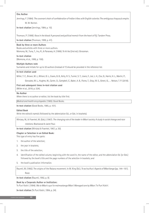#### **One Author**

Jennings, F. (1984). *The covenant chain of confederation of Indian tribes with English colonies: The ambiguous Iroquouis empire.*

W. W. Norton.

**In-text citation** (Jennings, 1984, p. 10).

Thomson, P. (1999). *Kava in the blood: A personal and political memoir from the heart of Fiji*. Tandem Press.

**In-text citation** (Thomson, 1999, p. 41).

#### **Book by three or more Authors**

Books and articles with three or more authors. Momona, M., Tuna, T., Inu, R., & Paraowa, A. (1999). *Te hii ika* (2nd ed.). Grossman.

#### **In-text citation**

(Momona, et al., 1999, p. 100).

#### **Multiple Authors note**

Surnames and initials for up to 20 authors (instead of 7) should be provided in the reference list.

#### **In-text citation used**

Miller, T. C., Brown, M. J., Wilson, G. L., Evans, B. B., Kelly, R. S., Turner, S. T., Lewis, F., Lee, L. H., Cox, G., Harris, H. L., Martin, P.,

Gonzalez, W. L., Hughes, W., Carter, D., Campbell, C., Baker, A. B., Flores, T., Gray, W. E., Green, G., … Nelson, T. P. (2018).

#### **First and subsequent times in-text citation used** (Miller et al., 2018, p. 324).

#### **No Author**

When there is no author or editor, list the book by title first.

*Medical and health encyclopedia.* (1985). Good Books.

**In-text citation** (Good Books, 1985, p. 101).

#### **Edited Book**

Write the editor/s name/s (followed by the abbreviation Ed., or Eds. in brackets).

Winiata, M., & Fraenkel, M. (Eds.). (1967). *The changing role of the leader in Māori society: A study in social change and race*

*relations*. Blackwood & Janet Paul.

**In-text citation** (Winiata & Fraenkel, 1967, p. 30).

#### **Chapter or Selection in an Edited Book:**

This type of entry has five parts:

- 1. the author of the selection;
- 2. the year in brackets;
- 3. the title of the selection;
- 4. identification of the edited volume, beginning with the word In, the name of the editor, and the abbreviation Ed. (or Eds.) followed by the book's title and the page numbers of the selection in brackets; and
- 5. the book's publication information.

Raureti, M. (1992). The origins of the Ratana movement. In M. King (Ed.), *Te ao hurihuri: Aspects of Māoritanga* (pp. 144—161). Reed.

**In-text citation** (Raureti, 1992, p. 9).

#### **Book by a Corporate Author or Institution:**

Te Puni Kokiri. (1994). *Ma te Māori e puri te maimoatanga Māori: Managed care by Māori*. Te Puni Kokiri.

**In-text citation** (Te Puni Kokiri, 1994, p. 24).

40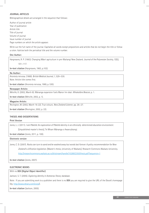#### **JOURNAL ARTICLES**

Bibliographical details are arranged in the sequence that follows:

Author of journal article Year of publication Article title Title of journal Volume of journal Issue number of journal Page numbers on which the article appears

Write out the full name of the journal. Capitalise all words except prepositions and articles that do not begin the title or follow a colon. Italicise both the periodical title and the volume number.

#### **One Author:**

Hargreaves, R. P. (1963). Changing Māori agriculture in pre-Waitangi New Zealand. *Journal of the Polynesian Society, 72*(2),

101—117.

**In-text citation** (Hargreaves, 1963, p.102).

#### **No Author:**

Anorexia nervosa. (1969). *British Medical Journal, 1,* 529—530. Note: Article title comes first.

**In-text citatio**n (Anorexia nervosa, 1969, p. 530).

#### **Newspaper Article:**

Melville, K. (2002, March 8). Wānanga expansion fuels Manor Inn deal. *Whakatāne Beacon*, p. 1.

**In-text citation** (Melville, 2002, p. 1).

#### **Magazine Article:**

Revington, M. (2002, March 16-22). True colours. *New Zealand Listener*, pp. 26—27.

**In-text citation** (Revington, 2002, p. 22).

#### **THESES AND DISSERTATIONS**

#### **Print Version**

Jones, L. J. (2011). *I am Pākehā: An exploration of Pākehā identity in an ethnically determined education environment.*

[Unpublished master's thesis]. Te Whare Wānanga o Awanuiārangi.

**In-text citation** (Jones, 2011, p. 100).

#### **Electronic version**

Jones, C. D. (2007). *Rocks can turn to sand and be washed away but words last forever: A policy recommendation for New Zealand's vilification legislation*. [Master's thesis, University of Waikato]. Research Commons Waikato University. http://researchcommons.waikato.ac.nz/bitstream/handle/10289/2350/thesis.pdf?sequence=1

**In-text citation** (Jones, 2007).

#### **ELECTRONIC BOOKS**

With no **DOI (Digital Object Identifier)**

Jackson, S. T. (2005). *Exploring identity in Aotearoa*. Ebrary database.

Note: If you are submitting work to a publisher and there is no **DOI** you are required to give the URL of the Ebook's homepage (eg. http://www.ebrary.com/corp/).

**In-text citation** (Jackson, 2005).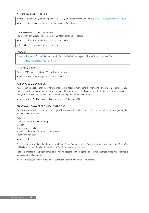#### With **DOI (Digital Object Identifier)**

Jackson, L., Beardman, S., & Cunningham, J. (2011). *Exploring sport in New Zealand*. http:// doi:11.1118/CB08876587658654

**In-text citation** (Jackson et al., 2011). Or Jackson et al. (2011) states....

#### **Music Recording – a song in an album**

Howard Morrison Quartet. (1975). Hoki mai. On *Māori songs.* Sony Records.

**In-text citation** (Howard Morrison Quartet, 1975, track 5).

Note: Include side and band or track numbers

#### **PODCAST**

Dingman, S. (Producer). (2010, January 18). *On the scene in Haiti* [Audio podcast]. New Zealand National Radio.

http://www.nationalradio/post.com

#### **TELEVISION SERIES**

Papa, P. (2016 - present). Ōpaki [TV series]. Māori Television.

**In-text citation** (Papa, 2016) or Papa (2016) states...

#### **PERSONAL COMMUNICATION**

Personal communication includes letters, memos, lecture notes, conversations, electronic mail, or private interviews that you conducted with another person. An entry is not added to your reference list because the information, text messages, online chats, is not recoverable, but an in-text citation is still required. See example below:

**In-text citation** (W. Nikora, personal communication, 19 January, 2008).

#### **TRADITIONAL KNOWLEDGE OR ORAL TRADITIONS**

For information that has not been recorded, provide readers with detail to describe the content and its context regarding the origin of the information:

Full name Nation of specific Indigenous group Location Other relevant details followed by the words "personal communication" Date of communication

#### **In-text citation**

We spoke with a local Rangatira, Te Kei Merito (Māori, Ngāti Pūkeko, Poroporo, Aotearoa, personal communication, November 2017) about the traditional understandings of Ngāti Rangataua. He described...

Note: It is imperative the person agrees to their name appearing in your paper and confirms the mātauranga you presented is both accurate and appropriate.

An entry is not required in your reference list because the information is not retrievable.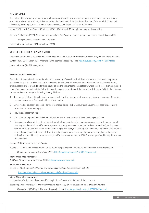#### **FILM OR VIDEO**

You will need to provide the names of principle contributors, with their function in round brackets; indicate the medium in square brackets after the title; and write the location and name of the distributor. The title of the item is italicised and followed by [Motion picture] for a film or hard copy video, and [video file] for an online video.

Young, T. (Director), & McClory, K. (Producer). (1965). *Thunderball*. [Motion picture]. Warner Home Video.

Jackson, P. (Director). (2001). *The lord of the rings: The fellowship of the ring* [Film; four-disc special extended ed. on DVD WingNut Films; The Saul Zaentz Company.

**In-text citation** (Jackson, 2001) or Jackson (2001) ...

#### **YOU TUBE OR OTHER STREAMING VIDEO**

The person of group who uploaded the video is credited as the author for retrievability, even if they did not create the work. SunFM 106.5. (2013, March 19). *Te Manuka Tutahi opening* [Video]. You Tube. http//youtube.com/watch?v=EkfBPiEkiek **In-text citation** (SunFM 106.5, 2013).

#### **WEBPAGES AND WEBSITES**

The variety of material available on the Web, and the variety of ways in which it is structured and presented, can present challenges for creating useable and useful references. Several types of works can be retrieved online, this includes books, articles, reports and journals. To cite these examples use the relevant reference category where possible. For example to cite a report from a government website follow the report category conventions. If the type of work does not fall into the reference categories then cite using the following three guidelines:

- 1. The core principle of citing electronic sources is to follow the rules for print sources and to include enough information to allow the reader to find the cited item if it still exists.
- 2. Direct readers as closely as possible to the information being cited; whenever possible, reference specific documents rather than home or menu pages.
- 3. Provide addresses that work.
- 4. It is no longer required to included the retrieval date unless web content is likely to change over time.
- 5. Documents available via the Internet include articles from periodicals (for example, newspaper, newsletter, or journal); they may stand on their own (for example, research paper, government report, online book or brochure); or they may have a quintessentially web-based format (for example, web page, newsgroup). At a minimum, a reference of an Internet source should provide a document title or description, a date (either the date of publication or update or the date of retrieval), and an address (in Internet terms, a uniform resource locator, or URL). Whenever possible, identify the authors of a document.

#### **Internet Article based on a Print Source**

Frideres, J. S. (1996). The Royal Commission on Aboriginal peoples: The route to self government? [Electronic version].

*Canadian Journal of Native Studies,16*(2), http://www3.brandonu.ca/cjns/16.2/frideres.pdf

#### **World Wide Web Homepage**

*Te Whare Wānanga o Awanuiārangi.* (2001). http://www.wananga.ac.nz/

#### **World Wide Web Page**

Marieb. E. (2000). *Essentials of human anatomy and physiology: AWL companion web site*.

http:/occ.00awlonline.com/bookbindpubbooks/marieb-00essentials/

#### **World Wide Web (no author)**

If the author of a document is not identified, begin the reference with the title of the document.

*Educating America for the 21st century: Developing a strategic plan for educational leadership for Columbia* 

*University -1993-2000* (Initial workshop draft. (1994). http://www.ilt.columbia.edu/CONF/EdPlan.html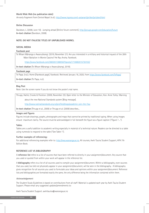#### **World Wide Web (no publication date)**

*An early fragment from Central Nepal*. (n.d.). http://www.ingress.com/~astanart/pritker/pritzker/html

#### **Online Discussion**

Davidson, L. (2008, June 10). Jumping ahead [Online forum comment]. http://groups.google.com/education/future **In-text citation** (Davidson, 2008).

#### **NOTE: DO NOT ITALICISE TITLES OF UNPUBLISHED WORKS.**

#### **SOCIAL MEDIA**

#### **Facebook post**

Te Whare Wānanga o Awanuiārangi. (2019, November 21). Are you interested in a military and historical inquest of the 28th Māori Battalion in Monte Cassino? He Rau Aroha. Facebook.

https://www.facebook.com/366593136805670posts/1710682015730102/

**In-text citation** (Te Whare Wānanga o Awanuiārangi, 2019).

#### **Facebook page**

Te Papa. (n.d.). Home [Facebook page]. Facebook. Retrieved January 16, 2020, from https://www.facebook.com/TePapa/

**In-text citation** (Te Papa, n.d.).

#### **Blog Post**

Note: Use the screen name if you do not know the poster's real name.

Thrupp, Hattie, Crooks & Flockton. (2009, November 23). Open letter to the Minister of Education, Hon. Anne Tolley: Warning

about the new National Standards system [Blog message].

http://www.natinalstandards.org.nz/profiles/blogs/academic-join-the-fray

**In-text citation** (Thrupp et al., 2009) or Thrupp et al. (2009) describes...

#### **Images and Figures**

Figures include drawings, graphs, photographs and maps that cannot be printed by traditional typing. When using images ensure maximum clarity. The source must be acknowledged in full *beneath* the figure as a figure caption (*"Figure 1 ..."*).

#### **Tables**

Tables are a useful addition to academic writing especially in material of a technical nature. Readers can be directed to a table using numerals to respond to the table ("See Table 1").

#### **Further examples of referencing:**

For additional referencing examples refer to: http://ewa.wananga.ac.nz, All courses, Awhi Tauira Student Support, APA 7th Edition Book.

#### **REFERENCE LIST VS BIBLIOGRAPHY**

A **reference list** refers to a list of sources that have been referred to directly in your assignment/document. Any source that you used or quoted from within your work will appear in the reference list.

A **bibliography** refers to a list of all sources used to compile your assignment/document. Within a bibliography, even sources that you used, but did not physically appear in your assignment/document, will be seen in the bibliography. A bibliography gives recognition for all sources you used to formulate your ideas and opinions within your assignment/document. Reference lists and bibliographies are formatted exactly the same, the only difference being the information contained within them.

#### *Acknowledgement*

The Student Study Guidelines is based on contributions from all staff. Material is updated each year by Awhi Tauira Student Support. Please email any suggested updates/amendments to:

Awhi Tauira Student Support. awhitauira@wananga.ac.nz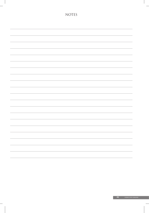|  | $\sim$ |
|--|--------|
|  |        |
|  |        |
|  |        |

NOTES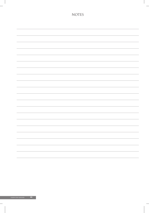| $\overline{\phantom{a}}$                                                                                                                                                                                                             |
|--------------------------------------------------------------------------------------------------------------------------------------------------------------------------------------------------------------------------------------|
| $\mathcal{L}_{\mathcal{A}}$ and $\mathcal{L}_{\mathcal{A}}$                                                                                                                                                                          |
|                                                                                                                                                                                                                                      |
|                                                                                                                                                                                                                                      |
| —                                                                                                                                                                                                                                    |
|                                                                                                                                                                                                                                      |
| <u> The Communication of the Communication of the Communication of the Communication of the Communication of the Communication of the Communication of the Communication of the Communication of the Communication of the Commun</u> |

NOTES